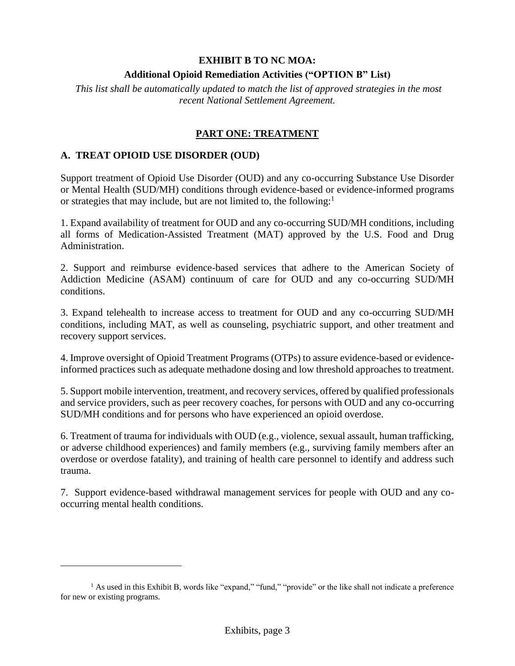#### **EXHIBIT B TO NC MOA:**

### **Additional Opioid Remediation Activities ("OPTION B" List)**

*This list shall be automatically updated to match the list of approved strategies in the most recent National Settlement Agreement.*

### **PART ONE: TREATMENT**

#### **A. TREAT OPIOID USE DISORDER (OUD)**

Support treatment of Opioid Use Disorder (OUD) and any co-occurring Substance Use Disorder or Mental Health (SUD/MH) conditions through evidence-based or evidence-informed programs or strategies that may include, but are not limited to, the following: $<sup>1</sup>$ </sup>

1. Expand availability of treatment for OUD and any co-occurring SUD/MH conditions, including all forms of Medication-Assisted Treatment (MAT) approved by the U.S. Food and Drug Administration.

2. Support and reimburse evidence-based services that adhere to the American Society of Addiction Medicine (ASAM) continuum of care for OUD and any co-occurring SUD/MH conditions.

3. Expand telehealth to increase access to treatment for OUD and any co-occurring SUD/MH conditions, including MAT, as well as counseling, psychiatric support, and other treatment and recovery support services.

4. Improve oversight of Opioid Treatment Programs (OTPs) to assure evidence-based or evidenceinformed practices such as adequate methadone dosing and low threshold approaches to treatment.

5. Support mobile intervention, treatment, and recovery services, offered by qualified professionals and service providers, such as peer recovery coaches, for persons with OUD and any co-occurring SUD/MH conditions and for persons who have experienced an opioid overdose.

6. Treatment of trauma for individuals with OUD (e.g., violence, sexual assault, human trafficking, or adverse childhood experiences) and family members (e.g., surviving family members after an overdose or overdose fatality), and training of health care personnel to identify and address such trauma.

7. Support evidence-based withdrawal management services for people with OUD and any cooccurring mental health conditions.

<sup>1</sup> As used in this Exhibit B, words like "expand," "fund," "provide" or the like shall not indicate a preference for new or existing programs.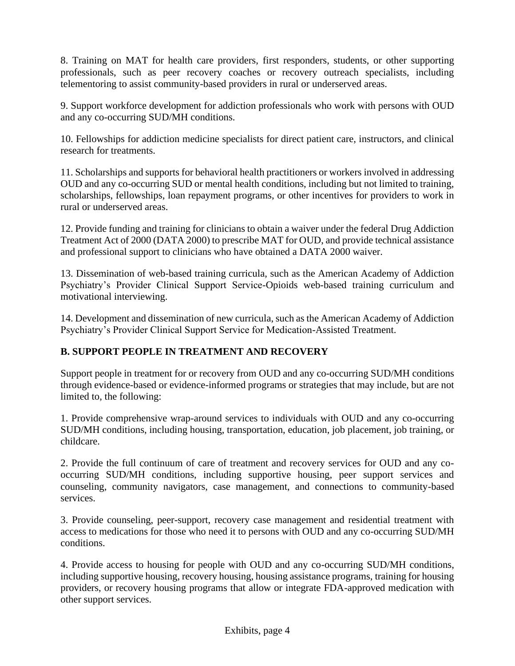8. Training on MAT for health care providers, first responders, students, or other supporting professionals, such as peer recovery coaches or recovery outreach specialists, including telementoring to assist community-based providers in rural or underserved areas.

9. Support workforce development for addiction professionals who work with persons with OUD and any co-occurring SUD/MH conditions.

10. Fellowships for addiction medicine specialists for direct patient care, instructors, and clinical research for treatments.

11. Scholarships and supports for behavioral health practitioners or workers involved in addressing OUD and any co-occurring SUD or mental health conditions, including but not limited to training, scholarships, fellowships, loan repayment programs, or other incentives for providers to work in rural or underserved areas.

12. Provide funding and training for clinicians to obtain a waiver under the federal Drug Addiction Treatment Act of 2000 (DATA 2000) to prescribe MAT for OUD, and provide technical assistance and professional support to clinicians who have obtained a DATA 2000 waiver.

13. Dissemination of web-based training curricula, such as the American Academy of Addiction Psychiatry's Provider Clinical Support Service-Opioids web-based training curriculum and motivational interviewing.

14. Development and dissemination of new curricula, such as the American Academy of Addiction Psychiatry's Provider Clinical Support Service for Medication-Assisted Treatment.

# **B. SUPPORT PEOPLE IN TREATMENT AND RECOVERY**

Support people in treatment for or recovery from OUD and any co-occurring SUD/MH conditions through evidence-based or evidence-informed programs or strategies that may include, but are not limited to, the following:

1. Provide comprehensive wrap-around services to individuals with OUD and any co-occurring SUD/MH conditions, including housing, transportation, education, job placement, job training, or childcare.

2. Provide the full continuum of care of treatment and recovery services for OUD and any cooccurring SUD/MH conditions, including supportive housing, peer support services and counseling, community navigators, case management, and connections to community-based services.

3. Provide counseling, peer-support, recovery case management and residential treatment with access to medications for those who need it to persons with OUD and any co-occurring SUD/MH conditions.

4. Provide access to housing for people with OUD and any co-occurring SUD/MH conditions, including supportive housing, recovery housing, housing assistance programs, training for housing providers, or recovery housing programs that allow or integrate FDA-approved medication with other support services.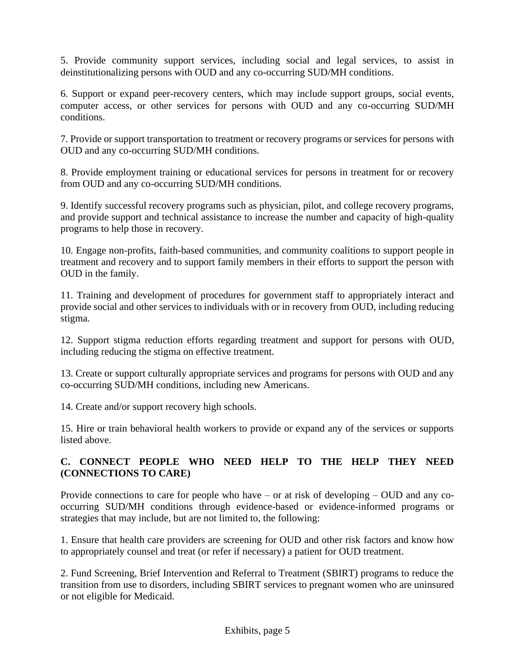5. Provide community support services, including social and legal services, to assist in deinstitutionalizing persons with OUD and any co-occurring SUD/MH conditions.

6. Support or expand peer-recovery centers, which may include support groups, social events, computer access, or other services for persons with OUD and any co-occurring SUD/MH conditions.

7. Provide or support transportation to treatment or recovery programs or services for persons with OUD and any co-occurring SUD/MH conditions.

8. Provide employment training or educational services for persons in treatment for or recovery from OUD and any co-occurring SUD/MH conditions.

9. Identify successful recovery programs such as physician, pilot, and college recovery programs, and provide support and technical assistance to increase the number and capacity of high-quality programs to help those in recovery.

10. Engage non-profits, faith-based communities, and community coalitions to support people in treatment and recovery and to support family members in their efforts to support the person with OUD in the family.

11. Training and development of procedures for government staff to appropriately interact and provide social and other services to individuals with or in recovery from OUD, including reducing stigma.

12. Support stigma reduction efforts regarding treatment and support for persons with OUD, including reducing the stigma on effective treatment.

13. Create or support culturally appropriate services and programs for persons with OUD and any co-occurring SUD/MH conditions, including new Americans.

14. Create and/or support recovery high schools.

15. Hire or train behavioral health workers to provide or expand any of the services or supports listed above.

# **C. CONNECT PEOPLE WHO NEED HELP TO THE HELP THEY NEED (CONNECTIONS TO CARE)**

Provide connections to care for people who have – or at risk of developing – OUD and any cooccurring SUD/MH conditions through evidence-based or evidence-informed programs or strategies that may include, but are not limited to, the following:

1. Ensure that health care providers are screening for OUD and other risk factors and know how to appropriately counsel and treat (or refer if necessary) a patient for OUD treatment.

2. Fund Screening, Brief Intervention and Referral to Treatment (SBIRT) programs to reduce the transition from use to disorders, including SBIRT services to pregnant women who are uninsured or not eligible for Medicaid.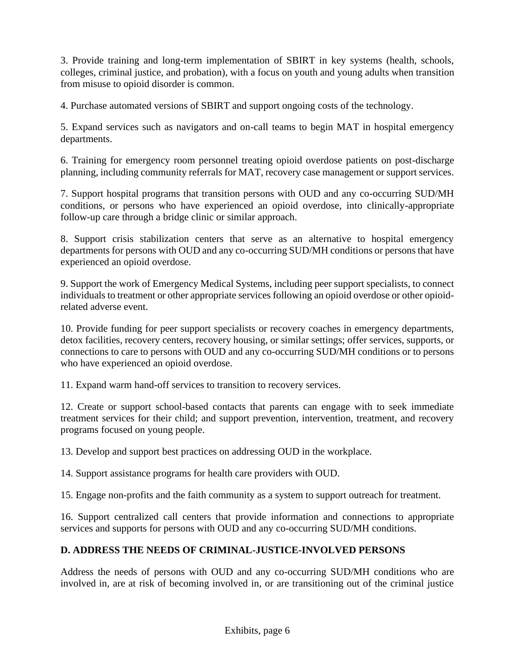3. Provide training and long-term implementation of SBIRT in key systems (health, schools, colleges, criminal justice, and probation), with a focus on youth and young adults when transition from misuse to opioid disorder is common.

4. Purchase automated versions of SBIRT and support ongoing costs of the technology.

5. Expand services such as navigators and on-call teams to begin MAT in hospital emergency departments.

6. Training for emergency room personnel treating opioid overdose patients on post-discharge planning, including community referrals for MAT, recovery case management or support services.

7. Support hospital programs that transition persons with OUD and any co-occurring SUD/MH conditions, or persons who have experienced an opioid overdose, into clinically-appropriate follow-up care through a bridge clinic or similar approach.

8. Support crisis stabilization centers that serve as an alternative to hospital emergency departments for persons with OUD and any co-occurring SUD/MH conditions or persons that have experienced an opioid overdose.

9. Support the work of Emergency Medical Systems, including peer support specialists, to connect individuals to treatment or other appropriate services following an opioid overdose or other opioidrelated adverse event.

10. Provide funding for peer support specialists or recovery coaches in emergency departments, detox facilities, recovery centers, recovery housing, or similar settings; offer services, supports, or connections to care to persons with OUD and any co-occurring SUD/MH conditions or to persons who have experienced an opioid overdose.

11. Expand warm hand-off services to transition to recovery services.

12. Create or support school-based contacts that parents can engage with to seek immediate treatment services for their child; and support prevention, intervention, treatment, and recovery programs focused on young people.

13. Develop and support best practices on addressing OUD in the workplace.

14. Support assistance programs for health care providers with OUD.

15. Engage non-profits and the faith community as a system to support outreach for treatment.

16. Support centralized call centers that provide information and connections to appropriate services and supports for persons with OUD and any co-occurring SUD/MH conditions.

# **D. ADDRESS THE NEEDS OF CRIMINAL-JUSTICE-INVOLVED PERSONS**

Address the needs of persons with OUD and any co-occurring SUD/MH conditions who are involved in, are at risk of becoming involved in, or are transitioning out of the criminal justice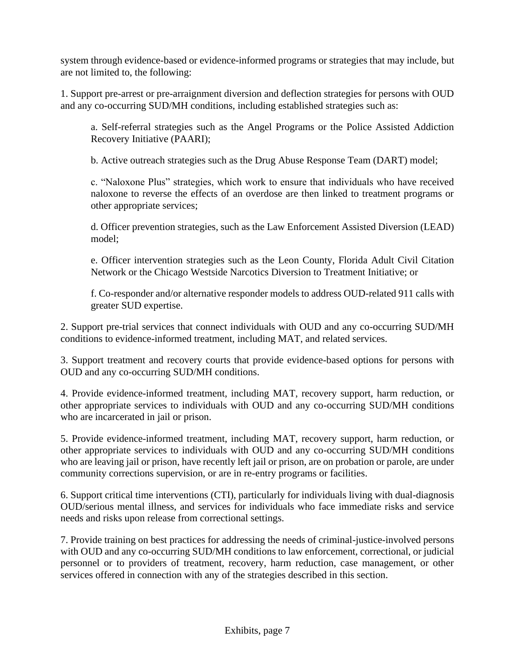system through evidence-based or evidence-informed programs or strategies that may include, but are not limited to, the following:

1. Support pre-arrest or pre-arraignment diversion and deflection strategies for persons with OUD and any co-occurring SUD/MH conditions, including established strategies such as:

a. Self-referral strategies such as the Angel Programs or the Police Assisted Addiction Recovery Initiative (PAARI);

b. Active outreach strategies such as the Drug Abuse Response Team (DART) model;

c. "Naloxone Plus" strategies, which work to ensure that individuals who have received naloxone to reverse the effects of an overdose are then linked to treatment programs or other appropriate services;

d. Officer prevention strategies, such as the Law Enforcement Assisted Diversion (LEAD) model;

e. Officer intervention strategies such as the Leon County, Florida Adult Civil Citation Network or the Chicago Westside Narcotics Diversion to Treatment Initiative; or

f. Co-responder and/or alternative responder models to address OUD-related 911 calls with greater SUD expertise.

2. Support pre-trial services that connect individuals with OUD and any co-occurring SUD/MH conditions to evidence-informed treatment, including MAT, and related services.

3. Support treatment and recovery courts that provide evidence-based options for persons with OUD and any co-occurring SUD/MH conditions.

4. Provide evidence-informed treatment, including MAT, recovery support, harm reduction, or other appropriate services to individuals with OUD and any co-occurring SUD/MH conditions who are incarcerated in jail or prison.

5. Provide evidence-informed treatment, including MAT, recovery support, harm reduction, or other appropriate services to individuals with OUD and any co-occurring SUD/MH conditions who are leaving jail or prison, have recently left jail or prison, are on probation or parole, are under community corrections supervision, or are in re-entry programs or facilities.

6. Support critical time interventions (CTI), particularly for individuals living with dual-diagnosis OUD/serious mental illness, and services for individuals who face immediate risks and service needs and risks upon release from correctional settings.

7. Provide training on best practices for addressing the needs of criminal-justice-involved persons with OUD and any co-occurring SUD/MH conditions to law enforcement, correctional, or judicial personnel or to providers of treatment, recovery, harm reduction, case management, or other services offered in connection with any of the strategies described in this section.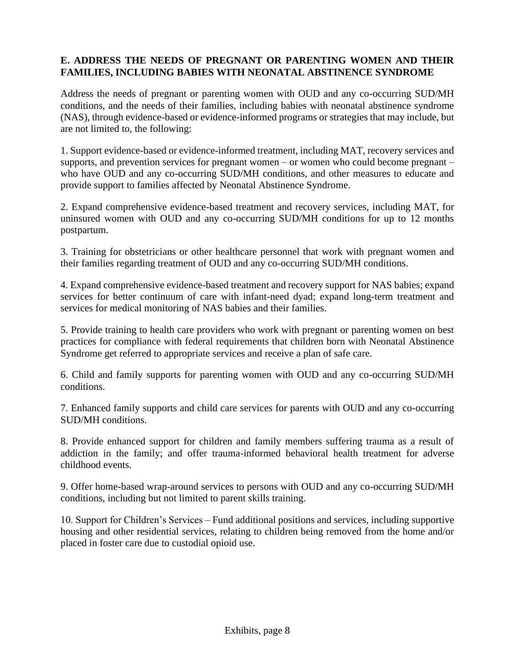## **E. ADDRESS THE NEEDS OF PREGNANT OR PARENTING WOMEN AND THEIR FAMILIES, INCLUDING BABIES WITH NEONATAL ABSTINENCE SYNDROME**

Address the needs of pregnant or parenting women with OUD and any co-occurring SUD/MH conditions, and the needs of their families, including babies with neonatal abstinence syndrome (NAS), through evidence-based or evidence-informed programs or strategies that may include, but are not limited to, the following:

1. Support evidence-based or evidence-informed treatment, including MAT, recovery services and supports, and prevention services for pregnant women – or women who could become pregnant – who have OUD and any co-occurring SUD/MH conditions, and other measures to educate and provide support to families affected by Neonatal Abstinence Syndrome.

2. Expand comprehensive evidence-based treatment and recovery services, including MAT, for uninsured women with OUD and any co-occurring SUD/MH conditions for up to 12 months postpartum.

3. Training for obstetricians or other healthcare personnel that work with pregnant women and their families regarding treatment of OUD and any co-occurring SUD/MH conditions.

4. Expand comprehensive evidence-based treatment and recovery support for NAS babies; expand services for better continuum of care with infant-need dyad; expand long-term treatment and services for medical monitoring of NAS babies and their families.

5. Provide training to health care providers who work with pregnant or parenting women on best practices for compliance with federal requirements that children born with Neonatal Abstinence Syndrome get referred to appropriate services and receive a plan of safe care.

6. Child and family supports for parenting women with OUD and any co-occurring SUD/MH conditions.

7. Enhanced family supports and child care services for parents with OUD and any co-occurring SUD/MH conditions.

8. Provide enhanced support for children and family members suffering trauma as a result of addiction in the family; and offer trauma-informed behavioral health treatment for adverse childhood events.

9. Offer home-based wrap-around services to persons with OUD and any co-occurring SUD/MH conditions, including but not limited to parent skills training.

10. Support for Children's Services – Fund additional positions and services, including supportive housing and other residential services, relating to children being removed from the home and/or placed in foster care due to custodial opioid use.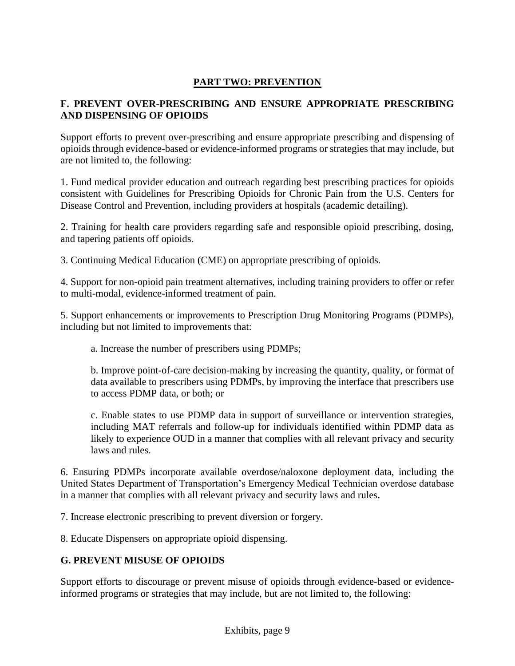## **PART TWO: PREVENTION**

## **F. PREVENT OVER-PRESCRIBING AND ENSURE APPROPRIATE PRESCRIBING AND DISPENSING OF OPIOIDS**

Support efforts to prevent over-prescribing and ensure appropriate prescribing and dispensing of opioids through evidence-based or evidence-informed programs or strategies that may include, but are not limited to, the following:

1. Fund medical provider education and outreach regarding best prescribing practices for opioids consistent with Guidelines for Prescribing Opioids for Chronic Pain from the U.S. Centers for Disease Control and Prevention, including providers at hospitals (academic detailing).

2. Training for health care providers regarding safe and responsible opioid prescribing, dosing, and tapering patients off opioids.

3. Continuing Medical Education (CME) on appropriate prescribing of opioids.

4. Support for non-opioid pain treatment alternatives, including training providers to offer or refer to multi-modal, evidence-informed treatment of pain.

5. Support enhancements or improvements to Prescription Drug Monitoring Programs (PDMPs), including but not limited to improvements that:

a. Increase the number of prescribers using PDMPs;

b. Improve point-of-care decision-making by increasing the quantity, quality, or format of data available to prescribers using PDMPs, by improving the interface that prescribers use to access PDMP data, or both; or

c. Enable states to use PDMP data in support of surveillance or intervention strategies, including MAT referrals and follow-up for individuals identified within PDMP data as likely to experience OUD in a manner that complies with all relevant privacy and security laws and rules.

6. Ensuring PDMPs incorporate available overdose/naloxone deployment data, including the United States Department of Transportation's Emergency Medical Technician overdose database in a manner that complies with all relevant privacy and security laws and rules.

7. Increase electronic prescribing to prevent diversion or forgery.

8. Educate Dispensers on appropriate opioid dispensing.

### **G. PREVENT MISUSE OF OPIOIDS**

Support efforts to discourage or prevent misuse of opioids through evidence-based or evidenceinformed programs or strategies that may include, but are not limited to, the following: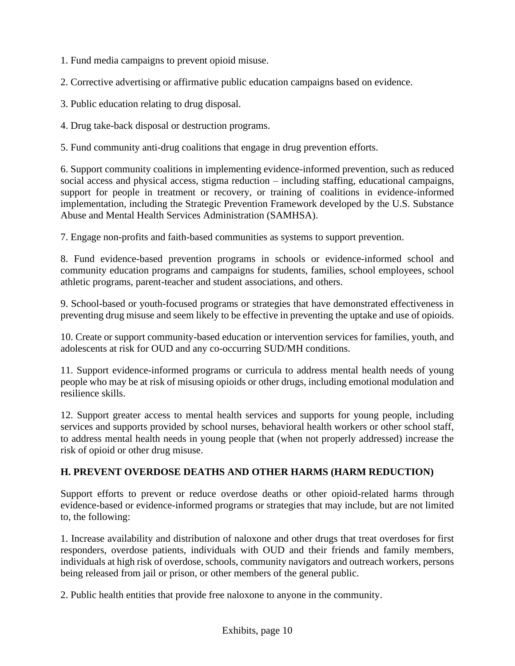1. Fund media campaigns to prevent opioid misuse.

2. Corrective advertising or affirmative public education campaigns based on evidence.

3. Public education relating to drug disposal.

4. Drug take-back disposal or destruction programs.

5. Fund community anti-drug coalitions that engage in drug prevention efforts.

6. Support community coalitions in implementing evidence-informed prevention, such as reduced social access and physical access, stigma reduction – including staffing, educational campaigns, support for people in treatment or recovery, or training of coalitions in evidence-informed implementation, including the Strategic Prevention Framework developed by the U.S. Substance Abuse and Mental Health Services Administration (SAMHSA).

7. Engage non-profits and faith-based communities as systems to support prevention.

8. Fund evidence-based prevention programs in schools or evidence-informed school and community education programs and campaigns for students, families, school employees, school athletic programs, parent-teacher and student associations, and others.

9. School-based or youth-focused programs or strategies that have demonstrated effectiveness in preventing drug misuse and seem likely to be effective in preventing the uptake and use of opioids.

10. Create or support community-based education or intervention services for families, youth, and adolescents at risk for OUD and any co-occurring SUD/MH conditions.

11. Support evidence-informed programs or curricula to address mental health needs of young people who may be at risk of misusing opioids or other drugs, including emotional modulation and resilience skills.

12. Support greater access to mental health services and supports for young people, including services and supports provided by school nurses, behavioral health workers or other school staff, to address mental health needs in young people that (when not properly addressed) increase the risk of opioid or other drug misuse.

# **H. PREVENT OVERDOSE DEATHS AND OTHER HARMS (HARM REDUCTION)**

Support efforts to prevent or reduce overdose deaths or other opioid-related harms through evidence-based or evidence-informed programs or strategies that may include, but are not limited to, the following:

1. Increase availability and distribution of naloxone and other drugs that treat overdoses for first responders, overdose patients, individuals with OUD and their friends and family members, individuals at high risk of overdose, schools, community navigators and outreach workers, persons being released from jail or prison, or other members of the general public.

2. Public health entities that provide free naloxone to anyone in the community.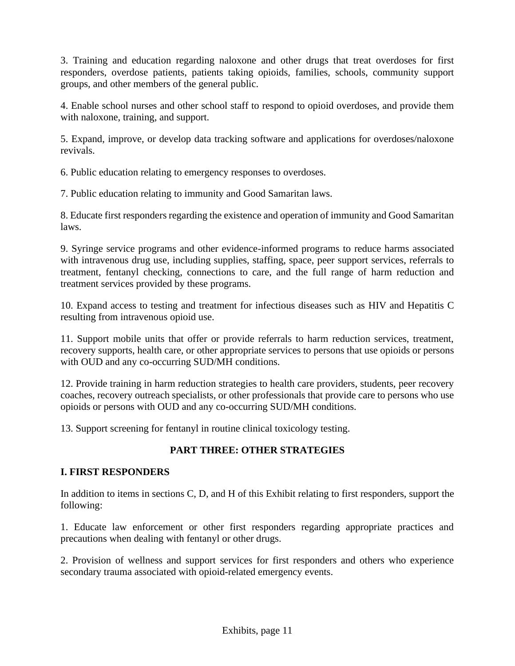3. Training and education regarding naloxone and other drugs that treat overdoses for first responders, overdose patients, patients taking opioids, families, schools, community support groups, and other members of the general public.

4. Enable school nurses and other school staff to respond to opioid overdoses, and provide them with naloxone, training, and support.

5. Expand, improve, or develop data tracking software and applications for overdoses/naloxone revivals.

6. Public education relating to emergency responses to overdoses.

7. Public education relating to immunity and Good Samaritan laws.

8. Educate first responders regarding the existence and operation of immunity and Good Samaritan laws.

9. Syringe service programs and other evidence-informed programs to reduce harms associated with intravenous drug use, including supplies, staffing, space, peer support services, referrals to treatment, fentanyl checking, connections to care, and the full range of harm reduction and treatment services provided by these programs.

10. Expand access to testing and treatment for infectious diseases such as HIV and Hepatitis C resulting from intravenous opioid use.

11. Support mobile units that offer or provide referrals to harm reduction services, treatment, recovery supports, health care, or other appropriate services to persons that use opioids or persons with OUD and any co-occurring SUD/MH conditions.

12. Provide training in harm reduction strategies to health care providers, students, peer recovery coaches, recovery outreach specialists, or other professionals that provide care to persons who use opioids or persons with OUD and any co-occurring SUD/MH conditions.

13. Support screening for fentanyl in routine clinical toxicology testing.

# **PART THREE: OTHER STRATEGIES**

### **I. FIRST RESPONDERS**

In addition to items in sections C, D, and H of this Exhibit relating to first responders, support the following:

1. Educate law enforcement or other first responders regarding appropriate practices and precautions when dealing with fentanyl or other drugs.

2. Provision of wellness and support services for first responders and others who experience secondary trauma associated with opioid-related emergency events.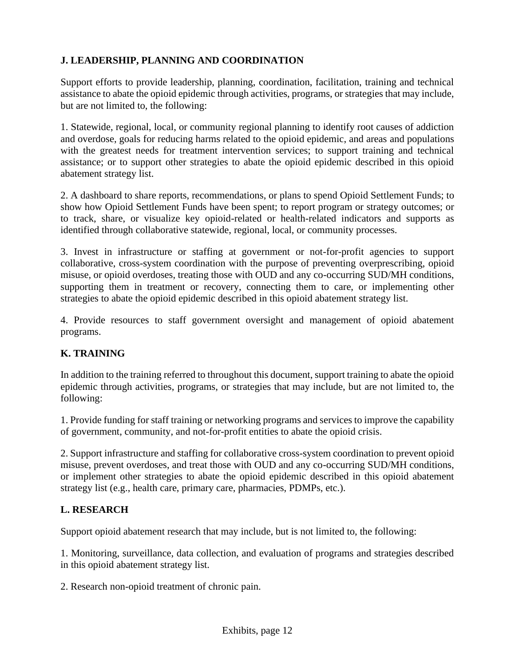# **J. LEADERSHIP, PLANNING AND COORDINATION**

Support efforts to provide leadership, planning, coordination, facilitation, training and technical assistance to abate the opioid epidemic through activities, programs, or strategies that may include, but are not limited to, the following:

1. Statewide, regional, local, or community regional planning to identify root causes of addiction and overdose, goals for reducing harms related to the opioid epidemic, and areas and populations with the greatest needs for treatment intervention services; to support training and technical assistance; or to support other strategies to abate the opioid epidemic described in this opioid abatement strategy list.

2. A dashboard to share reports, recommendations, or plans to spend Opioid Settlement Funds; to show how Opioid Settlement Funds have been spent; to report program or strategy outcomes; or to track, share, or visualize key opioid-related or health-related indicators and supports as identified through collaborative statewide, regional, local, or community processes.

3. Invest in infrastructure or staffing at government or not-for-profit agencies to support collaborative, cross-system coordination with the purpose of preventing overprescribing, opioid misuse, or opioid overdoses, treating those with OUD and any co-occurring SUD/MH conditions, supporting them in treatment or recovery, connecting them to care, or implementing other strategies to abate the opioid epidemic described in this opioid abatement strategy list.

4. Provide resources to staff government oversight and management of opioid abatement programs.

# **K. TRAINING**

In addition to the training referred to throughout this document, support training to abate the opioid epidemic through activities, programs, or strategies that may include, but are not limited to, the following:

1. Provide funding for staff training or networking programs and services to improve the capability of government, community, and not-for-profit entities to abate the opioid crisis.

2. Support infrastructure and staffing for collaborative cross-system coordination to prevent opioid misuse, prevent overdoses, and treat those with OUD and any co-occurring SUD/MH conditions, or implement other strategies to abate the opioid epidemic described in this opioid abatement strategy list (e.g., health care, primary care, pharmacies, PDMPs, etc.).

### **L. RESEARCH**

Support opioid abatement research that may include, but is not limited to, the following:

1. Monitoring, surveillance, data collection, and evaluation of programs and strategies described in this opioid abatement strategy list.

2. Research non-opioid treatment of chronic pain.